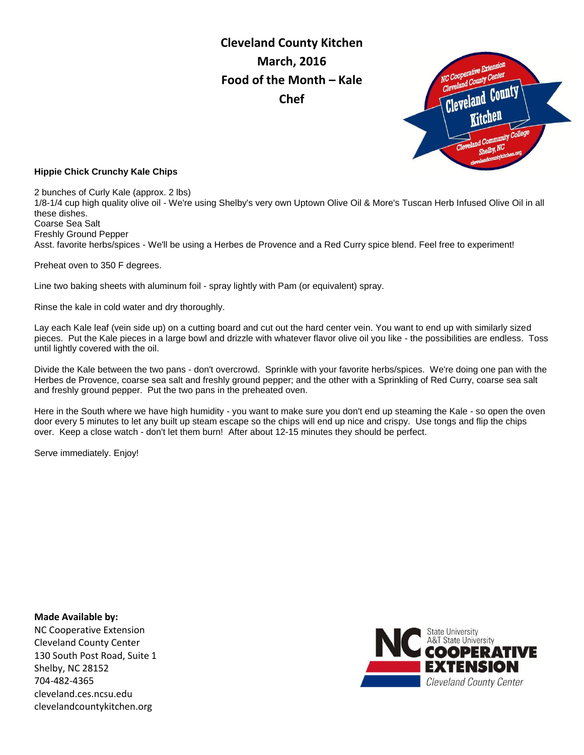**Cleveland County Kitchen March, 2016 Food of the Month – Kale Chef** 



#### **Hippie Chick Crunchy Kale Chips**

2 bunches of Curly Kale (approx. 2 lbs) 1/8-1/4 cup high quality olive oil - We're using Shelby's very own Uptown Olive Oil & More's Tuscan Herb Infused Olive Oil in all these dishes. Coarse Sea Salt Freshly Ground Pepper Asst. favorite herbs/spices - We'll be using a Herbes de Provence and a Red Curry spice blend. Feel free to experiment!

Preheat oven to 350 F degrees.

Line two baking sheets with aluminum foil - spray lightly with Pam (or equivalent) spray.

Rinse the kale in cold water and dry thoroughly.

Lay each Kale leaf (vein side up) on a cutting board and cut out the hard center vein. You want to end up with similarly sized pieces. Put the Kale pieces in a large bowl and drizzle with whatever flavor olive oil you like - the possibilities are endless. Toss until lightly covered with the oil.

Divide the Kale between the two pans - don't overcrowd. Sprinkle with your favorite herbs/spices. We're doing one pan with the Herbes de Provence, coarse sea salt and freshly ground pepper; and the other with a Sprinkling of Red Curry, coarse sea salt and freshly ground pepper. Put the two pans in the preheated oven.

Here in the South where we have high humidity - you want to make sure you don't end up steaming the Kale - so open the oven door every 5 minutes to let any built up steam escape so the chips will end up nice and crispy. Use tongs and flip the chips over. Keep a close watch - don't let them burn! After about 12-15 minutes they should be perfect.

Serve immediately. Enjoy!

**Made Available by:**  NC Cooperative Extension Cleveland County Center 130 South Post Road, Suite 1 Shelby, NC 28152 704-482-4365 cleveland.ces.ncsu.edu clevelandcountykitchen.org

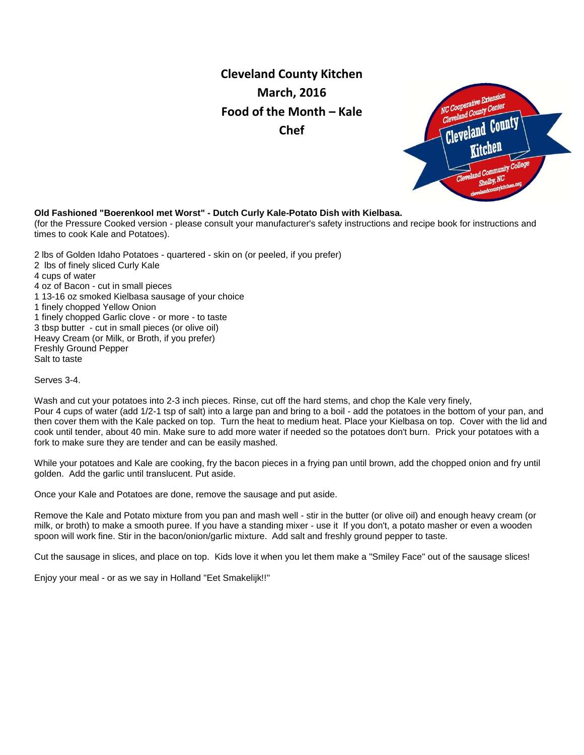# **Cleveland County Kitchen March, 2016 Food of the Month – Kale Chef**



### **Old Fashioned "Boerenkool met Worst" - Dutch Curly Kale-Potato Dish with Kielbasa.**

(for the Pressure Cooked version - please consult your manufacturer's safety instructions and recipe book for instructions and times to cook Kale and Potatoes).

2 lbs of Golden Idaho Potatoes - quartered - skin on (or peeled, if you prefer) 2 lbs of finely sliced Curly Kale 4 cups of water 4 oz of Bacon - cut in small pieces 1 13-16 oz smoked Kielbasa sausage of your choice 1 finely chopped Yellow Onion 1 finely chopped Garlic clove - or more - to taste 3 tbsp butter - cut in small pieces (or olive oil) Heavy Cream (or Milk, or Broth, if you prefer) Freshly Ground Pepper Salt to taste

Serves 3-4.

Wash and cut your potatoes into 2-3 inch pieces. Rinse, cut off the hard stems, and chop the Kale very finely, Pour 4 cups of water (add 1/2-1 tsp of salt) into a large pan and bring to a boil - add the potatoes in the bottom of your pan, and then cover them with the Kale packed on top. Turn the heat to medium heat. Place your Kielbasa on top. Cover with the lid and cook until tender, about 40 min. Make sure to add more water if needed so the potatoes don't burn. Prick your potatoes with a fork to make sure they are tender and can be easily mashed.

While your potatoes and Kale are cooking, fry the bacon pieces in a frying pan until brown, add the chopped onion and fry until golden. Add the garlic until translucent. Put aside.

Once your Kale and Potatoes are done, remove the sausage and put aside.

Remove the Kale and Potato mixture from you pan and mash well - stir in the butter (or olive oil) and enough heavy cream (or milk, or broth) to make a smooth puree. If you have a standing mixer - use it If you don't, a potato masher or even a wooden spoon will work fine. Stir in the bacon/onion/garlic mixture. Add salt and freshly ground pepper to taste.

Cut the sausage in slices, and place on top. Kids love it when you let them make a "Smiley Face" out of the sausage slices!

Enjoy your meal - or as we say in Holland "Eet Smakelijk!!"